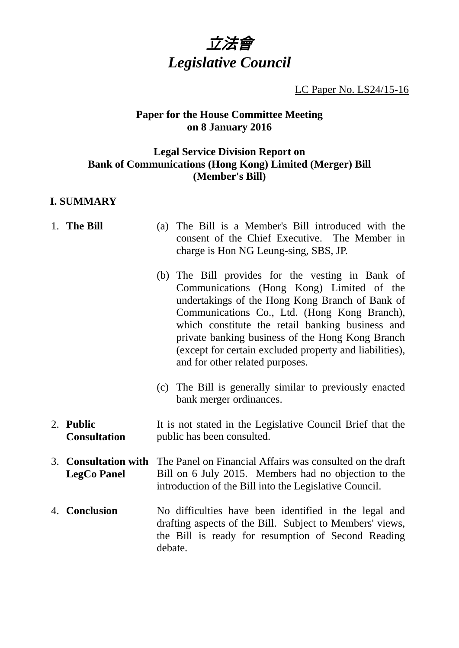

LC Paper No. LS24/15-16

# **Paper for the House Committee Meeting on 8 January 2016**

# **Legal Service Division Report on Bank of Communications (Hong Kong) Limited (Merger) Bill (Member's Bill)**

# **I. SUMMARY**

| 1. The Bill                                | (a)                                                                                                                                                                         | The Bill is a Member's Bill introduced with the<br>consent of the Chief Executive. The Member in<br>charge is Hon NG Leung-sing, SBS, JP.                                                                                                                                                                                                                                                              |
|--------------------------------------------|-----------------------------------------------------------------------------------------------------------------------------------------------------------------------------|--------------------------------------------------------------------------------------------------------------------------------------------------------------------------------------------------------------------------------------------------------------------------------------------------------------------------------------------------------------------------------------------------------|
|                                            |                                                                                                                                                                             | (b) The Bill provides for the vesting in Bank of<br>Communications (Hong Kong) Limited of the<br>undertakings of the Hong Kong Branch of Bank of<br>Communications Co., Ltd. (Hong Kong Branch),<br>which constitute the retail banking business and<br>private banking business of the Hong Kong Branch<br>(except for certain excluded property and liabilities),<br>and for other related purposes. |
|                                            |                                                                                                                                                                             | (c) The Bill is generally similar to previously enacted<br>bank merger ordinances.                                                                                                                                                                                                                                                                                                                     |
| 2. Public<br><b>Consultation</b>           | It is not stated in the Legislative Council Brief that the<br>public has been consulted.                                                                                    |                                                                                                                                                                                                                                                                                                                                                                                                        |
| 3. Consultation with<br><b>LegCo Panel</b> | The Panel on Financial Affairs was consulted on the draft<br>Bill on 6 July 2015. Members had no objection to the<br>introduction of the Bill into the Legislative Council. |                                                                                                                                                                                                                                                                                                                                                                                                        |
| 4. Conclusion                              | debate.                                                                                                                                                                     | No difficulties have been identified in the legal and<br>drafting aspects of the Bill. Subject to Members' views,<br>the Bill is ready for resumption of Second Reading                                                                                                                                                                                                                                |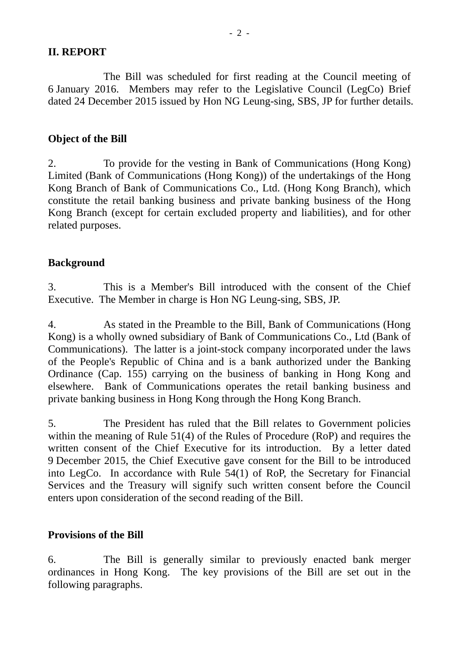#### **II. REPORT**

 The Bill was scheduled for first reading at the Council meeting of 6 January 2016. Members may refer to the Legislative Council (LegCo) Brief dated 24 December 2015 issued by Hon NG Leung-sing, SBS, JP for further details.

### **Object of the Bill**

2. To provide for the vesting in Bank of Communications (Hong Kong) Limited (Bank of Communications (Hong Kong)) of the undertakings of the Hong Kong Branch of Bank of Communications Co., Ltd. (Hong Kong Branch), which constitute the retail banking business and private banking business of the Hong Kong Branch (except for certain excluded property and liabilities), and for other related purposes.

#### **Background**

3. This is a Member's Bill introduced with the consent of the Chief Executive. The Member in charge is Hon NG Leung-sing, SBS, JP.

4. As stated in the Preamble to the Bill, Bank of Communications (Hong Kong) is a wholly owned subsidiary of Bank of Communications Co., Ltd (Bank of Communications). The latter is a joint-stock company incorporated under the laws of the People's Republic of China and is a bank authorized under the Banking Ordinance (Cap. 155) carrying on the business of banking in Hong Kong and elsewhere. Bank of Communications operates the retail banking business and private banking business in Hong Kong through the Hong Kong Branch.

5. The President has ruled that the Bill relates to Government policies within the meaning of Rule 51(4) of the Rules of Procedure (RoP) and requires the written consent of the Chief Executive for its introduction. By a letter dated 9 December 2015, the Chief Executive gave consent for the Bill to be introduced into LegCo. In accordance with Rule 54(1) of RoP, the Secretary for Financial Services and the Treasury will signify such written consent before the Council enters upon consideration of the second reading of the Bill.

#### **Provisions of the Bill**

6. The Bill is generally similar to previously enacted bank merger ordinances in Hong Kong. The key provisions of the Bill are set out in the following paragraphs.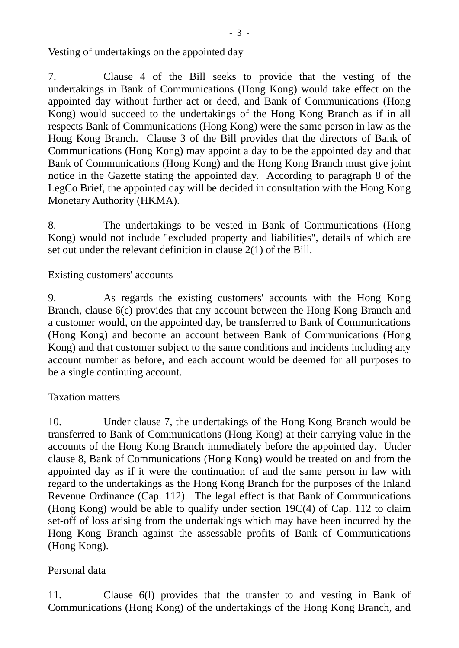### Vesting of undertakings on the appointed day

7. Clause 4 of the Bill seeks to provide that the vesting of the undertakings in Bank of Communications (Hong Kong) would take effect on the appointed day without further act or deed, and Bank of Communications (Hong Kong) would succeed to the undertakings of the Hong Kong Branch as if in all respects Bank of Communications (Hong Kong) were the same person in law as the Hong Kong Branch. Clause 3 of the Bill provides that the directors of Bank of Communications (Hong Kong) may appoint a day to be the appointed day and that Bank of Communications (Hong Kong) and the Hong Kong Branch must give joint notice in the Gazette stating the appointed day. According to paragraph 8 of the LegCo Brief, the appointed day will be decided in consultation with the Hong Kong Monetary Authority (HKMA).

8. The undertakings to be vested in Bank of Communications (Hong Kong) would not include "excluded property and liabilities", details of which are set out under the relevant definition in clause 2(1) of the Bill.

#### Existing customers' accounts

9. As regards the existing customers' accounts with the Hong Kong Branch, clause 6(c) provides that any account between the Hong Kong Branch and a customer would, on the appointed day, be transferred to Bank of Communications (Hong Kong) and become an account between Bank of Communications (Hong Kong) and that customer subject to the same conditions and incidents including any account number as before, and each account would be deemed for all purposes to be a single continuing account.

#### Taxation matters

10. Under clause 7, the undertakings of the Hong Kong Branch would be transferred to Bank of Communications (Hong Kong) at their carrying value in the accounts of the Hong Kong Branch immediately before the appointed day. Under clause 8, Bank of Communications (Hong Kong) would be treated on and from the appointed day as if it were the continuation of and the same person in law with regard to the undertakings as the Hong Kong Branch for the purposes of the Inland Revenue Ordinance (Cap. 112). The legal effect is that Bank of Communications (Hong Kong) would be able to qualify under section 19C(4) of Cap. 112 to claim set-off of loss arising from the undertakings which may have been incurred by the Hong Kong Branch against the assessable profits of Bank of Communications (Hong Kong).

### Personal data

11. Clause 6(l) provides that the transfer to and vesting in Bank of Communications (Hong Kong) of the undertakings of the Hong Kong Branch, and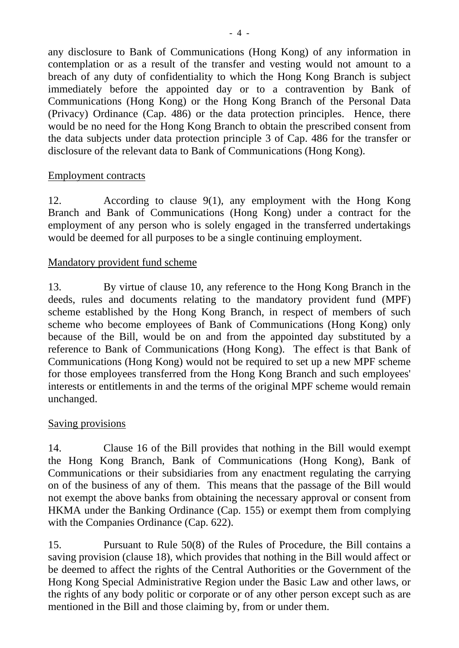any disclosure to Bank of Communications (Hong Kong) of any information in contemplation or as a result of the transfer and vesting would not amount to a breach of any duty of confidentiality to which the Hong Kong Branch is subject immediately before the appointed day or to a contravention by Bank of Communications (Hong Kong) or the Hong Kong Branch of the Personal Data (Privacy) Ordinance (Cap. 486) or the data protection principles. Hence, there would be no need for the Hong Kong Branch to obtain the prescribed consent from the data subjects under data protection principle 3 of Cap. 486 for the transfer or disclosure of the relevant data to Bank of Communications (Hong Kong).

#### Employment contracts

12. According to clause 9(1), any employment with the Hong Kong Branch and Bank of Communications (Hong Kong) under a contract for the employment of any person who is solely engaged in the transferred undertakings would be deemed for all purposes to be a single continuing employment.

#### Mandatory provident fund scheme

13. By virtue of clause 10, any reference to the Hong Kong Branch in the deeds, rules and documents relating to the mandatory provident fund (MPF) scheme established by the Hong Kong Branch, in respect of members of such scheme who become employees of Bank of Communications (Hong Kong) only because of the Bill, would be on and from the appointed day substituted by a reference to Bank of Communications (Hong Kong). The effect is that Bank of Communications (Hong Kong) would not be required to set up a new MPF scheme for those employees transferred from the Hong Kong Branch and such employees' interests or entitlements in and the terms of the original MPF scheme would remain unchanged.

### Saving provisions

14. Clause 16 of the Bill provides that nothing in the Bill would exempt the Hong Kong Branch, Bank of Communications (Hong Kong), Bank of Communications or their subsidiaries from any enactment regulating the carrying on of the business of any of them. This means that the passage of the Bill would not exempt the above banks from obtaining the necessary approval or consent from HKMA under the Banking Ordinance (Cap. 155) or exempt them from complying with the Companies Ordinance (Cap. 622).

15. Pursuant to Rule 50(8) of the Rules of Procedure, the Bill contains a saving provision (clause 18), which provides that nothing in the Bill would affect or be deemed to affect the rights of the Central Authorities or the Government of the Hong Kong Special Administrative Region under the Basic Law and other laws, or the rights of any body politic or corporate or of any other person except such as are mentioned in the Bill and those claiming by, from or under them.